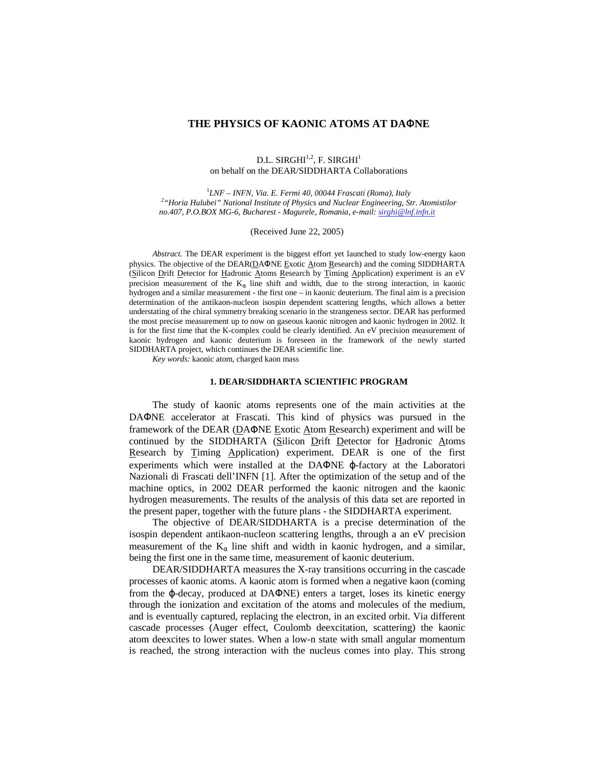# **THE PHYSICS OF KAONIC ATOMS AT DA**Φ**NE**

#### D.L. SIRGHI $^{1,2}$ , F. SIRGHI $^1$ on behalf on the DEAR/SIDDHARTA Collaborations

1 *LNF – INFN, Via. E. Fermi 40, 00044 Frascati (Roma), Italy 2 "Horia Hulubei" National Institute of Physics and Nuclear Engineering, Str. Atomistilor no.407, P.O.BOX MG-6, Bucharest - Magurele, Romania, e-mail: sirghi@lnf.infn.it*

(Received June 22, 2005)

*Abstract.* The DEAR experiment is the biggest effort yet launched to study low-energy kaon physics. The objective of the DEAR(DAΦNE Exotic Atom Research) and the coming SIDDHARTA (Silicon Drift Detector for Hadronic Atoms Research by Timing Application) experiment is an eV precision measurement of the  $K_{\alpha}$  line shift and width, due to the strong interaction, in kaonic hydrogen and a similar measurement - the first one – in kaonic deuterium. The final aim is a precision determination of the antikaon-nucleon isospin dependent scattering lengths, which allows a better understating of the chiral symmetry breaking scenario in the strangeness sector. DEAR has performed the most precise measurement up to now on gaseous kaonic nitrogen and kaonic hydrogen in 2002. It is for the first time that the K-complex could be clearly identified. An eV precision measurement of kaonic hydrogen and kaonic deuterium is foreseen in the framework of the newly started SIDDHARTA project, which continues the DEAR scientific line.

*Key words:* kaonic atom, charged kaon mass

# **1. DEAR/SIDDHARTA SCIENTIFIC PROGRAM**

The study of kaonic atoms represents one of the main activities at the DAΦNE accelerator at Frascati. This kind of physics was pursued in the framework of the DEAR (DAΦNE Exotic Atom Research) experiment and will be continued by the SIDDHARTA (Silicon Drift Detector for Hadronic Atoms Research by Timing Application) experiment. DEAR is one of the first experiments which were installed at the DAΦNE ϕ-factory at the Laboratori Nazionali di Frascati dell'INFN [1]. After the optimization of the setup and of the machine optics, in 2002 DEAR performed the kaonic nitrogen and the kaonic hydrogen measurements. The results of the analysis of this data set are reported in the present paper, together with the future plans - the SIDDHARTA experiment.

The objective of DEAR/SIDDHARTA is a precise determination of the isospin dependent antikaon-nucleon scattering lengths, through a an eV precision measurement of the  $K_{\alpha}$  line shift and width in kaonic hydrogen, and a similar, being the first one in the same time, measurement of kaonic deuterium.

DEAR/SIDDHARTA measures the X-ray transitions occurring in the cascade processes of kaonic atoms. A kaonic atom is formed when a negative kaon (coming from the ϕ-decay, produced at DAΦNE) enters a target, loses its kinetic energy through the ionization and excitation of the atoms and molecules of the medium, and is eventually captured, replacing the electron, in an excited orbit. Via different cascade processes (Auger effect, Coulomb deexcitation, scattering) the kaonic atom deexcites to lower states. When a low-n state with small angular momentum is reached, the strong interaction with the nucleus comes into play. This strong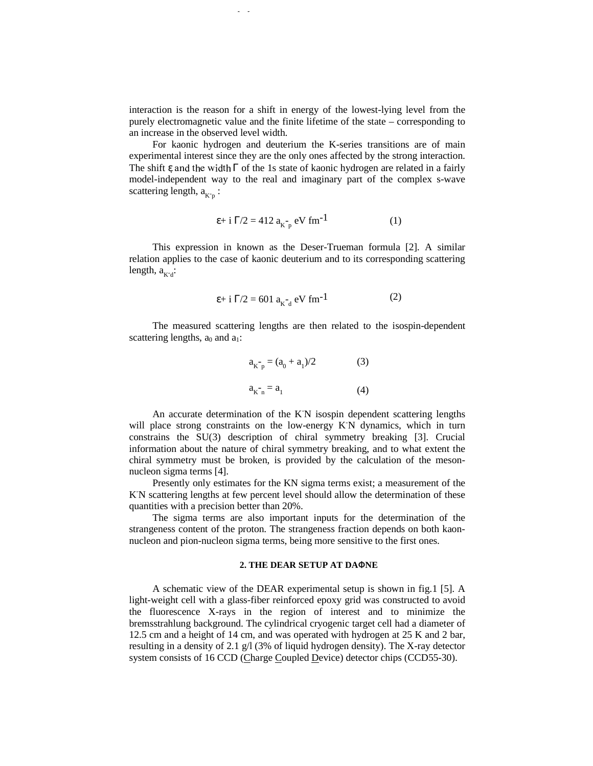interaction is the reason for a shift in energy of the lowest-lying level from the purely electromagnetic value and the finite lifetime of the state – corresponding to an increase in the observed level width.

For kaonic hydrogen and deuterium the K-series transitions are of main experimental interest since they are the only ones affected by the strong interaction. The shift  $\varepsilon$  and the width  $\Gamma$  of the 1s state of kaonic hydrogen are related in a fairly model-independent way to the real and imaginary part of the complex s-wave scattering length,  $a_{K^-p}$ :

$$
\varepsilon + i \Gamma/2 = 412 a_{K^-p} eV fm^{-1}
$$
 (1)

This expression in known as the Deser-Trueman formula [2]. A similar relation applies to the case of kaonic deuterium and to its corresponding scattering length,  $a_{K-d}$ :

$$
\varepsilon + i \Gamma/2 = 601 a_{K_d}^{\dagger} eV \text{ fm}^{-1}
$$
 (2)

The measured scattering lengths are then related to the isospin-dependent scattering lengths,  $a_0$  and  $a_1$ :

$$
a_{K-p} = (a_0 + a_1)/2
$$
 (3)  

$$
a_{K-n} = a_1
$$
 (4)

An accurate determination of the K<sup>N</sup> isospin dependent scattering lengths will place strong constraints on the low-energy KN dynamics, which in turn constrains the SU(3) description of chiral symmetry breaking [3]. Crucial information about the nature of chiral symmetry breaking, and to what extent the chiral symmetry must be broken, is provided by the calculation of the mesonnucleon sigma terms [4].

Presently only estimates for the KN sigma terms exist; a measurement of the K -N scattering lengths at few percent level should allow the determination of these quantities with a precision better than 20%.

The sigma terms are also important inputs for the determination of the strangeness content of the proton. The strangeness fraction depends on both kaonnucleon and pion-nucleon sigma terms, being more sensitive to the first ones.

### **2. THE DEAR SETUP AT DA**Φ**NE**

A schematic view of the DEAR experimental setup is shown in fig.1 [5]. A light-weight cell with a glass-fiber reinforced epoxy grid was constructed to avoid the fluorescence X-rays in the region of interest and to minimize the bremsstrahlung background. The cylindrical cryogenic target cell had a diameter of 12.5 cm and a height of 14 cm, and was operated with hydrogen at 25 K and 2 bar, resulting in a density of 2.1 g/l (3% of liquid hydrogen density). The X-ray detector system consists of 16 CCD (Charge Coupled Device) detector chips (CCD55-30).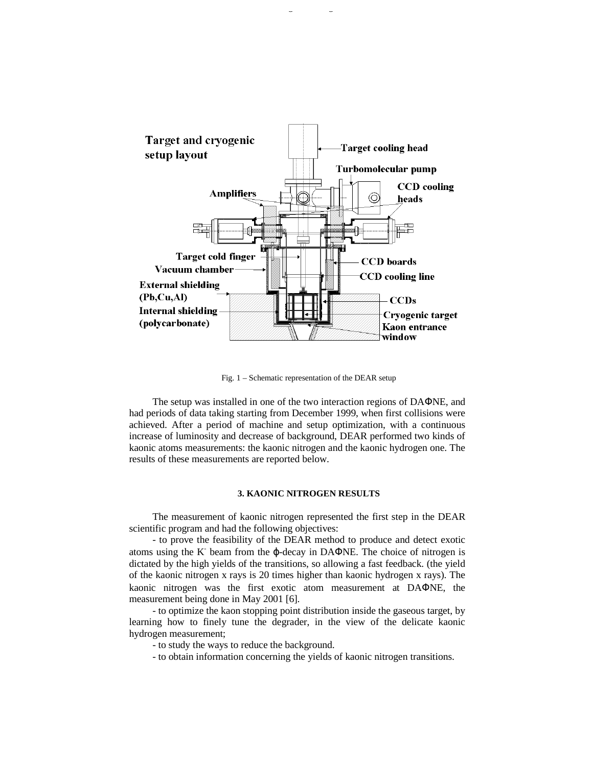

Fig. 1 – Schematic representation of the DEAR setup

The setup was installed in one of the two interaction regions of DAΦNE, and had periods of data taking starting from December 1999, when first collisions were achieved. After a period of machine and setup optimization, with a continuous increase of luminosity and decrease of background, DEAR performed two kinds of kaonic atoms measurements: the kaonic nitrogen and the kaonic hydrogen one. The results of these measurements are reported below.

### **3. KAONIC NITROGEN RESULTS**

The measurement of kaonic nitrogen represented the first step in the DEAR scientific program and had the following objectives:

- to prove the feasibility of the DEAR method to produce and detect exotic atoms using the  $K^-$  beam from the  $\varphi$ -decay in DAΦNE. The choice of nitrogen is dictated by the high yields of the transitions, so allowing a fast feedback. (the yield of the kaonic nitrogen x rays is 20 times higher than kaonic hydrogen x rays). The kaonic nitrogen was the first exotic atom measurement at DAΦNE, the measurement being done in May 2001 [6].

- to optimize the kaon stopping point distribution inside the gaseous target, by learning how to finely tune the degrader, in the view of the delicate kaonic hydrogen measurement;

- to study the ways to reduce the background.

- to obtain information concerning the yields of kaonic nitrogen transitions.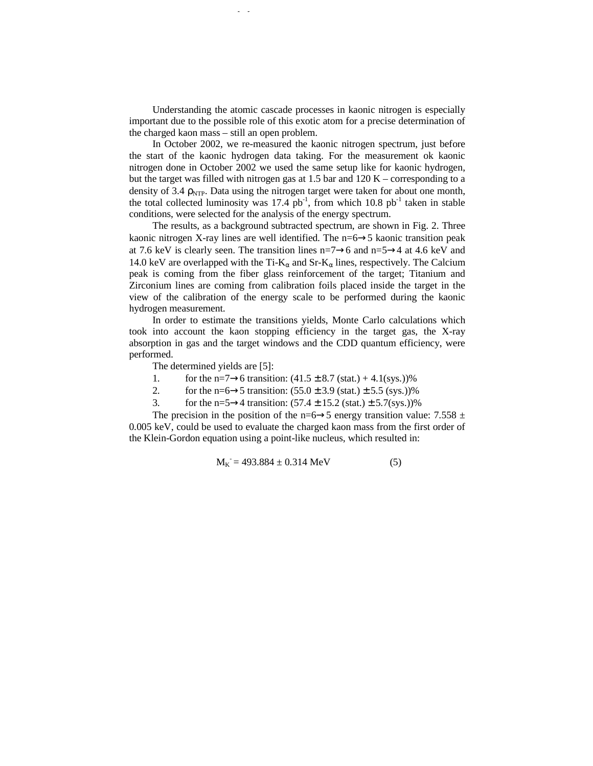Understanding the atomic cascade processes in kaonic nitrogen is especially important due to the possible role of this exotic atom for a precise determination of the charged kaon mass – still an open problem.

In October 2002, we re-measured the kaonic nitrogen spectrum, just before the start of the kaonic hydrogen data taking. For the measurement ok kaonic nitrogen done in October 2002 we used the same setup like for kaonic hydrogen, but the target was filled with nitrogen gas at 1.5 bar and 120 K – corresponding to a density of 3.4  $\rho_{\text{NTP}}$ . Data using the nitrogen target were taken for about one month, the total collected luminosity was  $17.4 \text{ pb}^{-1}$ , from which  $10.8 \text{ pb}^{-1}$  taken in stable conditions, were selected for the analysis of the energy spectrum.

The results, as a background subtracted spectrum, are shown in Fig. 2. Three kaonic nitrogen X-ray lines are well identified. The  $n=6\rightarrow5$  kaonic transition peak at 7.6 keV is clearly seen. The transition lines n=7→6 and n=5→4 at 4.6 keV and 14.0 keV are overlapped with the Ti- $K_{\alpha}$  and Sr- $K_{\alpha}$  lines, respectively. The Calcium peak is coming from the fiber glass reinforcement of the target; Titanium and Zirconium lines are coming from calibration foils placed inside the target in the view of the calibration of the energy scale to be performed during the kaonic hydrogen measurement.

In order to estimate the transitions yields, Monte Carlo calculations which took into account the kaon stopping efficiency in the target gas, the X-ray absorption in gas and the target windows and the CDD quantum efficiency, were performed.

The determined yields are [5]:

- 1. for the n=7→6 transition:  $(41.5 \pm 8.7 \text{ (stat.)} + 4.1 \text{ (sys.)})\%$
- 2. for the n=6→5 transition:  $(55.0 \pm 3.9 \text{ (stat.)} \pm 5.5 \text{ (sys.)})\%$
- 3. for the n=5 $\rightarrow$ 4 transition: (57.4  $\pm$  15.2 (stat.)  $\pm$  5.7(sys.))%

The precision in the position of the n=6→5 energy transition value: 7.558  $\pm$ 0.005 keV, could be used to evaluate the charged kaon mass from the first order of the Klein-Gordon equation using a point-like nucleus, which resulted in:

$$
M_K = 493.884 \pm 0.314 \text{ MeV}
$$
 (5)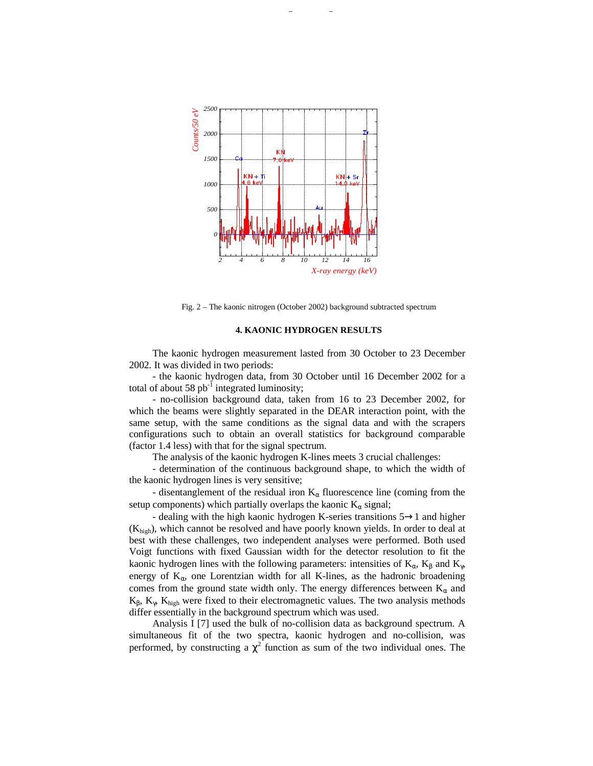

Fig. 2 – The kaonic nitrogen (October 2002) background subtracted spectrum

### **4. KAONIC HYDROGEN RESULTS**

The kaonic hydrogen measurement lasted from 30 October to 23 December 2002. It was divided in two periods:

- the kaonic hydrogen data, from 30 October until 16 December 2002 for a total of about 58  $pb^{-1}$  integrated luminosity;

- no-collision background data, taken from 16 to 23 December 2002, for which the beams were slightly separated in the DEAR interaction point, with the same setup, with the same conditions as the signal data and with the scrapers configurations such to obtain an overall statistics for background comparable (factor 1.4 less) with that for the signal spectrum.

The analysis of the kaonic hydrogen K-lines meets 3 crucial challenges:

- determination of the continuous background shape, to which the width of the kaonic hydrogen lines is very sensitive;

- disentanglement of the residual iron  $K_{\alpha}$  fluorescence line (coming from the setup components) which partially overlaps the kaonic  $K_{\alpha}$  signal;

- dealing with the high kaonic hydrogen K-series transitions 5→1 and higher  $(K_{high})$ , which cannot be resolved and have poorly known yields. In order to deal at best with these challenges, two independent analyses were performed. Both used Voigt functions with fixed Gaussian width for the detector resolution to fit the kaonic hydrogen lines with the following parameters: intensities of  $K_{\alpha}$ ,  $K_{\beta}$  and  $K_{\gamma}$ , energy of  $K_{\alpha}$ , one Lorentzian width for all K-lines, as the hadronic broadening comes from the ground state width only. The energy differences between  $K_{\alpha}$  and  $K_{\beta}$ ,  $K_{\gamma}$ ,  $K_{\text{high}}$  were fixed to their electromagnetic values. The two analysis methods differ essentially in the background spectrum which was used.

Analysis I [7] used the bulk of no-collision data as background spectrum. A simultaneous fit of the two spectra, kaonic hydrogen and no-collision, was performed, by constructing a  $\chi^2$  function as sum of the two individual ones. The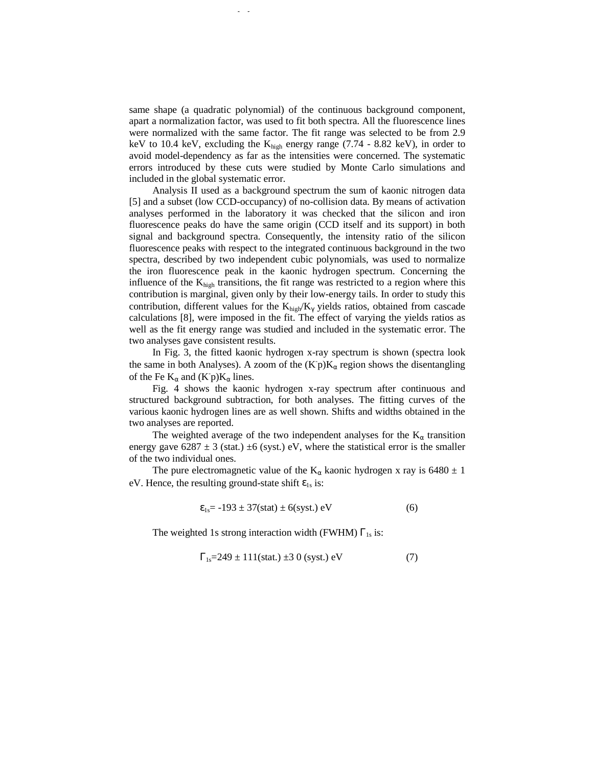same shape (a quadratic polynomial) of the continuous background component, apart a normalization factor, was used to fit both spectra. All the fluorescence lines were normalized with the same factor. The fit range was selected to be from 2.9 keV to 10.4 keV, excluding the  $K_{high}$  energy range (7.74 - 8.82 keV), in order to avoid model-dependency as far as the intensities were concerned. The systematic errors introduced by these cuts were studied by Monte Carlo simulations and included in the global systematic error.

Analysis II used as a background spectrum the sum of kaonic nitrogen data [5] and a subset (low CCD-occupancy) of no-collision data. By means of activation analyses performed in the laboratory it was checked that the silicon and iron fluorescence peaks do have the same origin (CCD itself and its support) in both signal and background spectra. Consequently, the intensity ratio of the silicon fluorescence peaks with respect to the integrated continuous background in the two spectra, described by two independent cubic polynomials, was used to normalize the iron fluorescence peak in the kaonic hydrogen spectrum. Concerning the influence of the  $K<sub>hieh</sub>$  transitions, the fit range was restricted to a region where this contribution is marginal, given only by their low-energy tails. In order to study this contribution, different values for the  $K_{high}/K_{\gamma}$  yields ratios, obtained from cascade calculations [8], were imposed in the fit. The effect of varying the yields ratios as well as the fit energy range was studied and included in the systematic error. The two analyses gave consistent results.

In Fig. 3, the fitted kaonic hydrogen x-ray spectrum is shown (spectra look the same in both Analyses). A zoom of the  $(Kp)K_\alpha$  region shows the disentangling of the Fe  $K_{\alpha}$  and  $(K^-p)K_{\alpha}$  lines.

Fig. 4 shows the kaonic hydrogen x-ray spectrum after continuous and structured background subtraction, for both analyses. The fitting curves of the various kaonic hydrogen lines are as well shown. Shifts and widths obtained in the two analyses are reported.

The weighted average of the two independent analyses for the  $K_{\alpha}$  transition energy gave  $6287 \pm 3$  (stat.)  $\pm 6$  (syst.) eV, where the statistical error is the smaller of the two individual ones.

The pure electromagnetic value of the K<sub>α</sub> kaonic hydrogen x ray is 6480  $\pm$  1 eV. Hence, the resulting ground-state shift  $\varepsilon_{1s}$  is:

$$
\varepsilon_{1s} = -193 \pm 37 \text{(stat)} \pm 6 \text{(syst.) eV} \tag{6}
$$

The weighted 1s strong interaction width (FWHM)  $\Gamma_{1s}$  is:

$$
\Gamma_{1s} = 249 \pm 111 \text{(stat.)} \pm 30 \text{ (syst.)} \text{ eV} \tag{7}
$$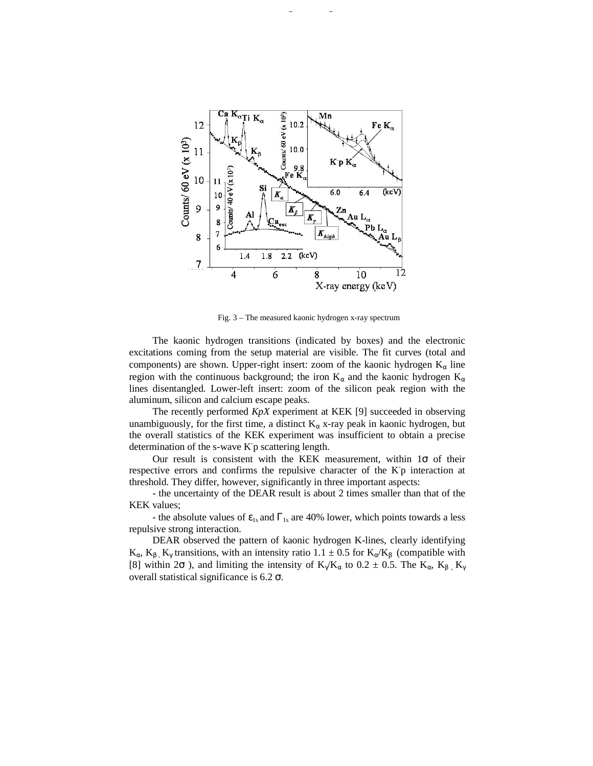

Fig. 3 – The measured kaonic hydrogen x-ray spectrum

The kaonic hydrogen transitions (indicated by boxes) and the electronic excitations coming from the setup material are visible. The fit curves (total and components) are shown. Upper-right insert: zoom of the kaonic hydrogen  $K_{\alpha}$  line region with the continuous background; the iron  $K_{\alpha}$  and the kaonic hydrogen  $K_{\alpha}$ lines disentangled. Lower-left insert: zoom of the silicon peak region with the aluminum, silicon and calcium escape peaks.

The recently performed *KpX* experiment at KEK [9] succeeded in observing unambiguously, for the first time, a distinct  $K_\alpha$  x-ray peak in kaonic hydrogen, but the overall statistics of the KEK experiment was insufficient to obtain a precise determination of the s-wave K p scattering length.

Our result is consistent with the KEK measurement, within  $1\sigma$  of their respective errors and confirms the repulsive character of the K p interaction at threshold. They differ, however, significantly in three important aspects:

- the uncertainty of the DEAR result is about 2 times smaller than that of the KEK values;

- the absolute values of  $\varepsilon_{1s}$  and  $\Gamma_{1s}$  are 40% lower, which points towards a less repulsive strong interaction.

DEAR observed the pattern of kaonic hydrogen K-lines, clearly identifying  $K_{\alpha}$ ,  $K_{\beta}$ ,  $K_{\gamma}$  transitions, with an intensity ratio 1.1  $\pm$  0.5 for  $K_{\alpha}/K_{\beta}$  (compatible with [8] within 2 $\sigma$  ), and limiting the intensity of K<sub>γ</sub>/K<sub>α</sub> to 0.2  $\pm$  0.5. The K<sub>α</sub>, K<sub>β</sub>, K<sub>γ</sub> overall statistical significance is 6.2  $\sigma$ .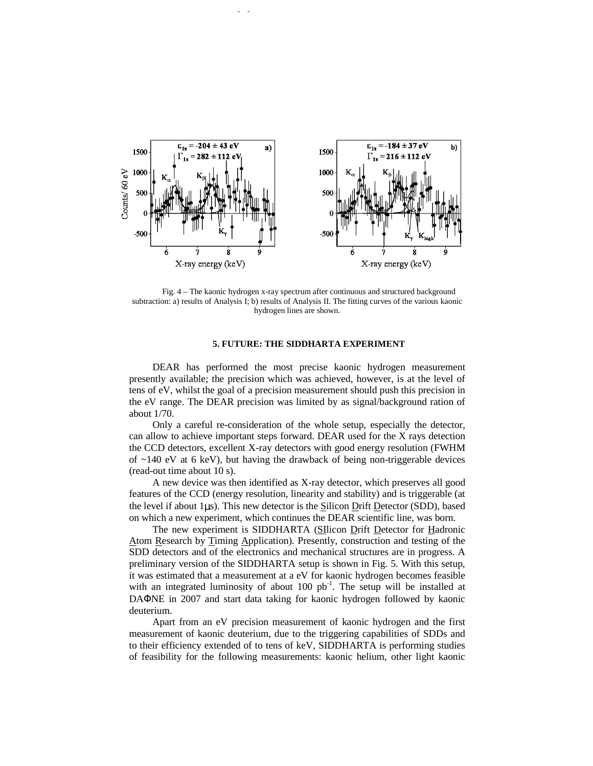

Fig. 4 – The kaonic hydrogen x-ray spectrum after continuous and structured background subtraction: a) results of Analysis I; b) results of Analysis II. The fitting curves of the various kaonic hydrogen lines are shown.

## **5. FUTURE: THE SIDDHARTA EXPERIMENT**

DEAR has performed the most precise kaonic hydrogen measurement presently available; the precision which was achieved, however, is at the level of tens of eV, whilst the goal of a precision measurement should push this precision in the eV range. The DEAR precision was limited by as signal/background ration of about 1/70.

Only a careful re-consideration of the whole setup, especially the detector, can allow to achieve important steps forward. DEAR used for the X rays detection the CCD detectors, excellent X-ray detectors with good energy resolution (FWHM of  $\sim$ 140 eV at 6 keV), but having the drawback of being non-triggerable devices (read-out time about 10 s).

A new device was then identified as X-ray detector, which preserves all good features of the CCD (energy resolution, linearity and stability) and is triggerable (at the level if about 1 $\mu$ s). This new detector is the Silicon Drift Detector (SDD), based on which a new experiment, which continues the DEAR scientific line, was born.

The new experiment is SIDDHARTA (SIlicon Drift Detector for Hadronic Atom Research by Timing Application). Presently, construction and testing of the SDD detectors and of the electronics and mechanical structures are in progress. A preliminary version of the SIDDHARTA setup is shown in Fig. 5. With this setup, it was estimated that a measurement at a eV for kaonic hydrogen becomes feasible with an integrated luminosity of about  $100$  pb<sup>-1</sup>. The setup will be installed at DAΦNE in 2007 and start data taking for kaonic hydrogen followed by kaonic deuterium.

Apart from an eV precision measurement of kaonic hydrogen and the first measurement of kaonic deuterium, due to the triggering capabilities of SDDs and to their efficiency extended of to tens of keV, SIDDHARTA is performing studies of feasibility for the following measurements: kaonic helium, other light kaonic